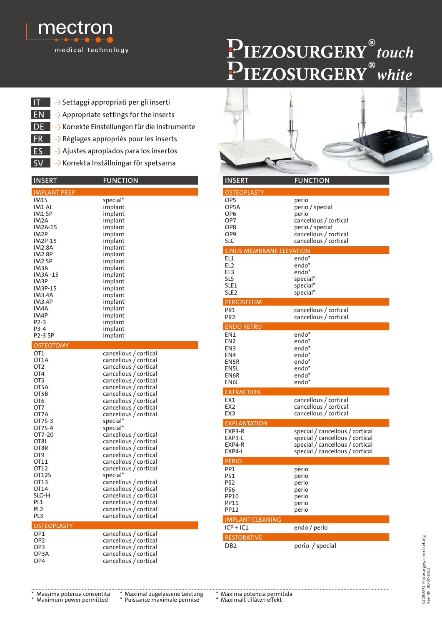

## PIEZOSURGERY®touch

- $EN \rightarrow$  Appropriate settings for the inserts IT → Settaggi appropriati per gli inserti
- DE → Korrekte Einstellungen für die Instrumente
- FR + Réglages appropriés pour les inserts
- ES + Ajustes apropiados para los insertos
- **SV → Korrekta Inställningar för spetsarna**

| <b>INSERT</b>                                                                                                                                                                                                                              | <b>FUNCTION</b>                                                                                                                                                                                                                                                                                                                                                                                                                                                                                                                                                                                        |
|--------------------------------------------------------------------------------------------------------------------------------------------------------------------------------------------------------------------------------------------|--------------------------------------------------------------------------------------------------------------------------------------------------------------------------------------------------------------------------------------------------------------------------------------------------------------------------------------------------------------------------------------------------------------------------------------------------------------------------------------------------------------------------------------------------------------------------------------------------------|
| <b>IMPLANT PREP</b>                                                                                                                                                                                                                        |                                                                                                                                                                                                                                                                                                                                                                                                                                                                                                                                                                                                        |
| IM1S<br>IM1 AL<br>IM1 SP<br>IM <sub>2</sub> A<br><b>IM2A-15</b><br>IM2P<br>IM2P-15<br>IM2.8A<br><b>IM2.8P</b><br>IM2 SP<br>IM <sub>3</sub> A<br>IM3A -15<br>IM3P<br>IM3P-15<br>IM3.4A<br>IM3.4P<br>IM4A<br>IM4P<br>P2-3<br>P3-4<br>P2-3 SP | special*<br>implant<br>implant<br>implant<br>implant<br>implant<br>implant<br>implant<br>implant<br>implant<br>implant<br>implant<br>implant<br>implant<br>implant<br>implant<br>implant<br>implant<br>implant<br>implant<br>implant                                                                                                                                                                                                                                                                                                                                                                   |
| <b>OSTEOTOMY</b>                                                                                                                                                                                                                           |                                                                                                                                                                                                                                                                                                                                                                                                                                                                                                                                                                                                        |
| OT1<br>OT1A<br>OT <sub>2</sub><br>OT <sub>4</sub><br>OT5<br>OT5A<br>OT5B<br>OT6<br>OT7<br>OT7A<br>OT7S-3<br>OT7S-4<br>OT7-20<br>OT8L<br>OT8R<br>OT9<br>OT11<br>OT12<br>OT12S<br>OT13<br>OT14<br>SLO-H<br>PL <sub>1</sub><br>PI 2<br>PL3    | cancellous / cortical<br>cancellous / cortical<br>cancellous / cortical<br>cancellous / cortical<br>cancellous / cortical<br>cancellous / cortical<br>cancellous / cortical<br>cancellous / cortical<br>cancellous / cortical<br>cancellous / cortical<br>special*<br>special*<br>cancellous / cortical<br>cancellous / cortical<br>cancellous / cortical<br>cancellous / cortical<br>cancellous / cortical<br>cancellous / cortical<br>special*<br>cancellous / cortical<br>cancellous / cortical<br>cancellous / cortical<br>cancellous / cortical<br>cancellous / cortical<br>cancellous / cortical |
| <b>OSTEOPLASTY</b>                                                                                                                                                                                                                         |                                                                                                                                                                                                                                                                                                                                                                                                                                                                                                                                                                                                        |
| OP1<br>OP <sub>2</sub><br>OP3<br>OP3A<br>OP4                                                                                                                                                                                               | cancellous / cortical<br>cancellous / cortical<br>cancellous / cortical<br>cancellous / cortical<br>cancellous / cortical                                                                                                                                                                                                                                                                                                                                                                                                                                                                              |



| <b>INSERT</b>                                                                                         | <b>FUNCTION</b>                                                                                                                          |
|-------------------------------------------------------------------------------------------------------|------------------------------------------------------------------------------------------------------------------------------------------|
| <b>OSTEOPLASTY</b>                                                                                    |                                                                                                                                          |
| OP <sub>5</sub><br>OP5A<br>OP <sub>6</sub><br>OP7<br>OP <sub>8</sub><br>OP <sub>9</sub><br><b>SLC</b> | perio<br>perio / special<br>perio<br>cancellous / cortical<br>perio / special<br>cancellous / cortical<br>cancellous / cortical          |
| <b>SINUS MEMBRANE ELEVATION</b>                                                                       |                                                                                                                                          |
| EL <sub>1</sub><br>EL <sub>2</sub><br>EL3<br>SLS<br>SLE1<br>SLE <sub>2</sub>                          | endo*<br>endo*<br>endo*<br>special*<br>special*<br>special*                                                                              |
| <b>PERIOSTEUM</b>                                                                                     |                                                                                                                                          |
| PR <sub>1</sub><br>PR <sub>2</sub>                                                                    | cancellous / cortical<br>cancellous / cortical                                                                                           |
| <b>ENDO RETRO</b>                                                                                     |                                                                                                                                          |
| EN1<br>EN <sub>2</sub><br>EN3<br>EN4<br>EN5R<br>EN <sub>5</sub> L<br>EN6R<br>EN6L                     | endo*<br>endo*<br>endo*<br>endo*<br>endo*<br>endo*<br>endo*<br>endo*                                                                     |
| <b>EXTRACTION</b>                                                                                     |                                                                                                                                          |
| EX1<br>EX <sub>2</sub><br>EX3                                                                         | cancellous / cortical<br>cancellous / cortical<br>cancellous / cortical                                                                  |
| <b>EXPLANTATION</b>                                                                                   |                                                                                                                                          |
| EXP3-R<br>EXP3-L<br>EXP4-R<br>EXP4-L                                                                  | special / cancellous / cortical<br>special / cancellous / cortical<br>special / cancellous / cortical<br>special / cancellous / cortical |
| <b>PERIO</b>                                                                                          |                                                                                                                                          |
| PP <sub>1</sub><br>PS1<br>PS <sub>2</sub><br>PS <sub>6</sub><br>PP10<br><b>PP11</b><br><b>PP12</b>    | perio<br>perio<br>perio<br>perio<br>perio<br>perio<br>perio                                                                              |
| <b>IMPLANT CLEANING</b>                                                                               |                                                                                                                                          |
| $ICP + IC1$                                                                                           | endo / perio                                                                                                                             |
| <b>RESTORATIVE</b>                                                                                    |                                                                                                                                          |
| DB <sub>2</sub>                                                                                       | perio / special                                                                                                                          |

02150071 Piezosurgery insert setting<br>Rev.05 01-07-2021 02150071 Piezosurgery insert setting Rev. 05 01-07-2021

- 
- 

\* Massima potenza consentita \* Maximal zugelassene Leistung \* Máxima potencia permitida \* Puissance maximale permise

. . . . . . . . . . .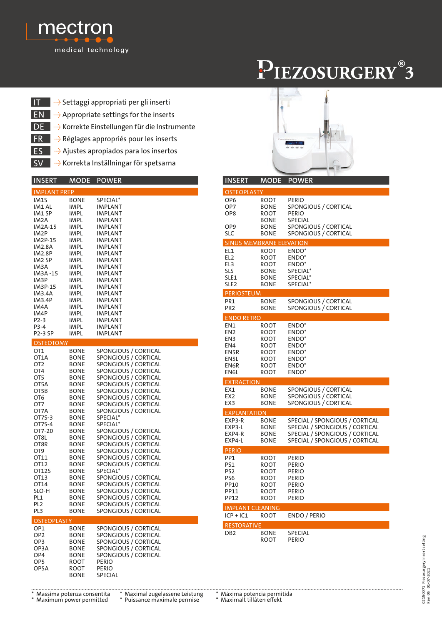

## PIEZOSURGERY®3

- IT → Settaggi appropriati per gli inserti
- $EN \rightarrow$  Appropriate settings for the inserts
- DE → Korrekte Einstellungen für die Instrumente
- FR → Réglages appropriés pour les inserts
- ES +> Ajustes apropiados para los insertos
- **SV → Korrekta Inställningar för spetsarna**

| <b>INSERT</b>                                                                                                                                                                                                                                                | MODE                                                                                                                                                                                                                                                                                                                                                                  | <b>POWER</b>                                                                                                                                                                                                                                                                                                                                                                                                                                                                                                                                                                     |
|--------------------------------------------------------------------------------------------------------------------------------------------------------------------------------------------------------------------------------------------------------------|-----------------------------------------------------------------------------------------------------------------------------------------------------------------------------------------------------------------------------------------------------------------------------------------------------------------------------------------------------------------------|----------------------------------------------------------------------------------------------------------------------------------------------------------------------------------------------------------------------------------------------------------------------------------------------------------------------------------------------------------------------------------------------------------------------------------------------------------------------------------------------------------------------------------------------------------------------------------|
| <b>IMPLANT PREP</b>                                                                                                                                                                                                                                          |                                                                                                                                                                                                                                                                                                                                                                       |                                                                                                                                                                                                                                                                                                                                                                                                                                                                                                                                                                                  |
| IM1S<br>IM1 AL<br>IM1 SP<br>IM2A<br><b>IM2A-15</b><br>IM <sub>2</sub> P<br>IM2P-15<br>IM2.8A<br><b>IM2.8P</b><br>IM <sub>2</sub> SP<br>IM3A<br>IM3A-15<br>IM3P<br>IM3P-15<br>IM3.4A<br>IM3.4P<br>IM4A<br>IM4P<br>P <sub>2</sub> -3<br>P3-4<br><b>P2-3 SP</b> | <b>BONE</b><br>IMPL<br>IMPL<br>IMPL<br>IMPL<br>IMPL<br>IMPL<br>IMPL<br>IMPL<br>IMPL<br>IMPL<br>IMPL<br>IMPL<br>IMPL<br>IMPL<br>IMPL<br>IMPL<br>IMPL<br>IMPL<br>IMPL                                                                                                                                                                                                   | SPECIAL*<br>IMPLANT<br>IMPLANT<br><b>IMPLANT</b><br><b>IMPLANT</b><br>IMPLANT<br>IMPLANT<br><b>IMPLANT</b><br>IMPLANT<br>IMPLANT<br><b>IMPLANT</b><br>IMPLANT<br><b>IMPLANT</b><br>IMPLANT<br>IMPLANT<br>IMPLANT<br>IMPLANT<br>IMPLANT<br>IMPLANT<br><b>IMPLANT</b>                                                                                                                                                                                                                                                                                                              |
| <b>OSTEOTOMY</b>                                                                                                                                                                                                                                             | IMPL                                                                                                                                                                                                                                                                                                                                                                  | IMPLANT                                                                                                                                                                                                                                                                                                                                                                                                                                                                                                                                                                          |
| OT1<br>OT <sub>1</sub> A<br>OT <sub>2</sub><br>OT <sub>4</sub><br>OT5<br>OT5A<br>OT5B<br>OT6<br>OT7<br>OT7A<br>OT7S-3<br>OT7S-4<br>OT7-20<br>OT8L<br>OT8R<br>OT9<br>OT11<br>OT12<br>OT12S<br>OT13<br>OT14<br>SLO-H<br>PL1<br>PL2<br>PL3                      | <b>BONE</b><br><b>BONE</b><br><b>BONE</b><br><b>BONE</b><br><b>BONE</b><br><b>BONE</b><br><b>BONE</b><br><b>BONE</b><br><b>BONE</b><br><b>BONE</b><br><b>BONE</b><br><b>BONE</b><br><b>BONE</b><br><b>BONE</b><br><b>BONE</b><br><b>BONE</b><br><b>BONE</b><br><b>BONE</b><br><b>BONE</b><br><b>BONE</b><br><b>BONE</b><br><b>BONE</b><br>BONE<br><b>BONE</b><br>BONE | SPONGIOUS / CORTICAL<br>SPONGIOUS / CORTICAL<br>SPONGIOUS / CORTICAL<br>SPONGIOUS / CORTICAL<br>SPONGIOUS / CORTICAL<br>SPONGIOUS / CORTICAL<br>SPONGIOUS / CORTICAL<br>SPONGIOUS / CORTICAL<br>SPONGIOUS / CORTICAL<br>SPONGIOUS / CORTICAL<br>SPECIAL*<br>SPECIAL*<br>SPONGIOUS / CORTICAL<br>SPONGIOUS / CORTICAL<br>SPONGIOUS / CORTICAL<br>SPONGIOUS / CORTICAL<br>SPONGIOUS / CORTICAL<br>SPONGIOUS / CORTICAL<br>SPECIAL*<br>SPONGIOUS / CORTICAL<br>SPONGIOUS / CORTICAL<br>SPONGIOUS / CORTICAL<br>SPONGIOUS / CORTICAL<br>SPONGIOUS / CORTICAL<br>SPONGIOUS / CORTICAL |
| <b>OSTEOPLASTY</b>                                                                                                                                                                                                                                           |                                                                                                                                                                                                                                                                                                                                                                       |                                                                                                                                                                                                                                                                                                                                                                                                                                                                                                                                                                                  |
| OP1<br>OP <sub>2</sub><br>OP <sub>3</sub><br>OP3A<br>OP4<br>OP <sub>5</sub><br>OP5A                                                                                                                                                                          | <b>BONE</b><br><b>BONE</b><br>BONE<br><b>BONE</b><br><b>BONE</b><br>ROOT<br>ROOT<br><b>BONE</b>                                                                                                                                                                                                                                                                       | SPONGIOUS / CORTICAL<br>SPONGIOUS / CORTICAL<br>SPONGIOUS / CORTICAL<br>SPONGIOUS / CORTICAL<br>SPONGIOUS / CORTICAL<br><b>PERIO</b><br>PERIO<br>SPECIAL                                                                                                                                                                                                                                                                                                                                                                                                                         |



| <b>INSERT</b>                                                        | MODE                                                                | <b>POWER</b>                                                                                                                                 |
|----------------------------------------------------------------------|---------------------------------------------------------------------|----------------------------------------------------------------------------------------------------------------------------------------------|
| <b>OSTEOPLASTY</b>                                                   |                                                                     |                                                                                                                                              |
| OP <sub>6</sub><br>OP7<br>OP <sub>8</sub>                            | <b>ROOT</b><br><b>BONE</b><br>ROOT<br><b>BONE</b>                   | <b>PERIO</b><br>SPONGIOUS / CORTICAL<br>PERIO<br><b>SPECIAL</b>                                                                              |
| OP <sub>9</sub><br>SLC                                               | <b>BONE</b><br>BONE                                                 | SPONGIOUS / CORTICAL<br>SPONGIOUS / CORTICAL                                                                                                 |
| <b>SINUS MEMBRANE ELEVATION</b>                                      |                                                                     |                                                                                                                                              |
| EL1<br>EL2<br>EL3<br>SLS<br>SLE1<br>SLE <sub>2</sub>                 | ROOT<br>ROOT<br>ROOT<br><b>BONE</b><br><b>BONE</b><br><b>BONE</b>   | ENDO*<br>ENDO <sup>*</sup><br>ENDO*<br>SPECIAL <sup>*</sup><br>SPECIAL*<br>SPECIAL*                                                          |
| <b>PERIOSTEUM</b>                                                    |                                                                     |                                                                                                                                              |
| PR <sub>1</sub><br>PR <sub>2</sub>                                   | <b>BONE</b><br><b>BONE</b>                                          | SPONGIOUS / CORTICAL<br>SPONGIOUS / CORTICAL                                                                                                 |
| <b>ENDO RETRO</b>                                                    |                                                                     |                                                                                                                                              |
| EN1<br>EN <sub>2</sub><br>EN3<br>EN4<br>EN5R<br>EN5L<br>EN6R<br>EN6L | ROOT<br>ROOT<br>ROOT<br>ROOT<br>ROOT<br>ROOT<br><b>ROOT</b><br>ROOT | ENDO <sup>*</sup><br>ENDO <sup>*</sup><br>ENDO <sup>*</sup><br>ENDO <sup>*</sup><br>ENDO <sup>*</sup><br>ENDO*<br>ENDO*<br>ENDO <sup>*</sup> |
| <b>EXTRACTION</b>                                                    |                                                                     |                                                                                                                                              |
| EX1<br>EX <sub>2</sub><br>EX3                                        | <b>BONE</b><br><b>BONE</b><br><b>BONE</b>                           | SPONGIOUS / CORTICAL<br>SPONGIOUS / CORTICAL<br>SPONGIOUS / CORTICAL                                                                         |
| <b>EXPLANTATION</b>                                                  |                                                                     |                                                                                                                                              |
| EXP3-R<br>EXP3-L<br>EXP4-R<br>EXP4-L                                 | <b>BONE</b><br><b>BONE</b><br><b>BONE</b><br><b>BONE</b>            | SPECIAL / SPONGIOUS / CORTICAL<br>SPECIAL / SPONGIOUS / CORTICAL<br>SPECIAL / SPONGIOUS / CORTICAL<br>SPECIAL / SPONGIOUS / CORTICAL         |
| <b>PERIO</b>                                                         |                                                                     |                                                                                                                                              |
| PP1<br>PS1<br>PS <sub>2</sub><br>PS6<br>PP10<br>PP11<br>PP12         | ROOT<br>ROOT<br>ROOT<br>ROOT<br>ROOT<br>ROOT<br><b>ROOT</b>         | PERIO<br>PERIO<br>Perio<br>PERIO<br><b>PERIO</b><br>PERIO<br><b>PERIO</b>                                                                    |
| <b>IMPLANT CLEANING</b>                                              |                                                                     |                                                                                                                                              |
| $ICP + IC1$                                                          | ROOT                                                                | ENDO / PERIO                                                                                                                                 |
| <b>RESTORATIVE</b><br>DB <sub>2</sub>                                | <b>BONE</b><br>ROOT                                                 | <b>SPECIAL</b><br>PERIO                                                                                                                      |

02150071 Piezosurgery insert setting<br>Rev.05 01-07-2021 02150071 Piezosurgery insert setting Rev. 05 01-07-2021

\* Massima potenza consentita \* Maximal zugelassene Leistung \* Máxima potencia permitida

\* Maximum power permitted \* Puissance maximale permise \* Maximalt tillåten effekt

. . . . . . . . . . . .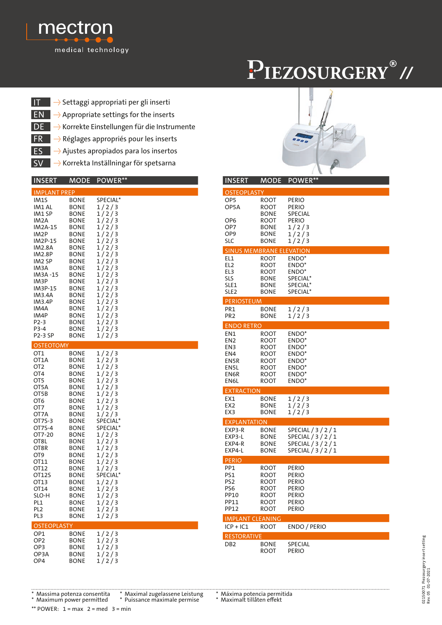

## PIEZOSURGERY®//

- IT → Settaggi appropriati per gli inserti
- $EN \rightarrow$  Appropriate settings for the inserts
- DE → Korrekte Einstellungen für die Instrumente
- FR + Réglages appropriés pour les inserts
- ES +> Ajustes apropiados para los insertos
- **SV → Korrekta Inställningar för spetsarna**

| <b>INSERT</b>                                                                                                                                                                                                                                              | MODE                                                                                                                                                                                                                                                                       | POWER**                                                                                                                                                                                                                                |
|------------------------------------------------------------------------------------------------------------------------------------------------------------------------------------------------------------------------------------------------------------|----------------------------------------------------------------------------------------------------------------------------------------------------------------------------------------------------------------------------------------------------------------------------|----------------------------------------------------------------------------------------------------------------------------------------------------------------------------------------------------------------------------------------|
| <b>IMPLANT PREP</b>                                                                                                                                                                                                                                        |                                                                                                                                                                                                                                                                            |                                                                                                                                                                                                                                        |
| IM1S<br>IM1 AL<br>IM1 SP<br>IM2A<br>IM2A-15<br>IM <sub>2</sub> P<br>IM2P-15<br><b>IM2.8A</b><br>IM2.8P<br>IM2 SP<br>IM <sub>3</sub> A<br>IM3A -15<br>IM3P<br>IM3P-15<br>IM3.4A<br>IM3.4P<br>IM4A<br>IM4P<br>$P2-3$<br>P3-4<br><b>P2-3 SP</b>               | BONE<br>BONE<br>BONE<br>BONE<br>BONE<br><b>BONE</b><br><b>BONE</b><br>BONE<br>BONE<br><b>BONE</b><br><b>BONE</b><br>BONE<br><b>BONE</b><br><b>BONE</b><br><b>BONE</b><br><b>BONE</b><br><b>BONE</b><br><b>BONE</b><br><b>BONE</b><br><b>BONE</b><br>BONE                   | SPECIAL*<br>1/2/3<br>1/2/3<br>1/2/3<br>1/2/3<br>1/2/3<br>1/2/3<br>1/2/3<br>1/2/3<br>1/2/3<br>1/2/3<br>1/2/3<br>1/2/3<br>1/2/3<br>1/2/3<br>1/2/3<br>1/2/3<br>1/2/3<br>1/2/3<br>1/2/3<br>1/2/3                                           |
| <b>OSTEOTOMY</b><br>OT <sub>1</sub><br>OT1A<br>OT2<br>OT <sub>4</sub><br>OT5<br>OT5A<br>OT5B<br>OT6<br>OT7<br>OT7A<br>OT7S-3<br>OT7S-4<br>OT7-20<br>OT8L<br>OT8R<br>OT9<br>OT11<br>OT12<br>OT12S<br>OT13<br>OT14<br>SLO-H<br>PL1<br>PL <sub>2</sub><br>PL3 | BONE<br><b>BONE</b><br><b>BONE</b><br><b>BONE</b><br><b>BONE</b><br><b>BONE</b><br>BONE<br>BONE<br>BONE<br><b>BONE</b><br><b>BONE</b><br>BONE<br>BONE<br><b>BONE</b><br>BONE<br>BONE<br>BONE<br>BONE<br>BONE<br>BONE<br><b>BONE</b><br>BONE<br>BONE<br>BONE<br><b>BONE</b> | 1/2/3<br>1/2/3<br>1/2/3<br>1/2/3<br>1/2/3<br>1/2/3<br>1/2/3<br>1/2/3<br>1/2/3<br>1/2/3<br>SPECIAL*<br>SPECIAL*<br>1/2/3<br>1/2/3<br>1/2/3<br>1/2/3<br>1/2/3<br>1/2/3<br>SPECIAL*<br>1/2/3<br>1/2/3<br>1/2/3<br>1/2/3<br>1/2/3<br>1/2/3 |
| <b>OSTEOPLASTY</b><br>OP1                                                                                                                                                                                                                                  | BONE                                                                                                                                                                                                                                                                       |                                                                                                                                                                                                                                        |
| OP <sub>2</sub><br>OP3<br>OP3A<br>OP4                                                                                                                                                                                                                      | BONE<br>BONE<br>BONE<br>BONE                                                                                                                                                                                                                                               | 1/2/3<br>1/2/3<br>1/2/3<br>1/2/3<br>1/2/3                                                                                                                                                                                              |

| <b>INSERT</b>                   | <b>MODE</b>  | POWER**                                |  |
|---------------------------------|--------------|----------------------------------------|--|
| <b>OSTEOPLASTY</b>              |              |                                        |  |
| OP5                             | ROOT         | PERIO                                  |  |
| OP5A                            | ROOT         | PERIO                                  |  |
| OP <sub>6</sub>                 | BONE         | SPECIAL<br><b>PERIO</b>                |  |
| OP7                             | ROOT<br>BONE | 1/2/3                                  |  |
| OP9                             | BONE         | 1/2/3                                  |  |
| SLC                             | BONE         | 1/2/3                                  |  |
| <b>SINUS MEMBRANE ELEVATION</b> |              |                                        |  |
| EL1                             | ROOT         | ENDO <sup>*</sup>                      |  |
| EL <sub>2</sub><br>EL3          | ROOT<br>ROOT | ENDO*<br>ENDO <sup>*</sup>             |  |
| SLS                             | BONE         | SPECIAL*                               |  |
| SLE1                            | BONE         | SPECIAL*                               |  |
| SLE2                            | BONE         | SPECIAL*                               |  |
| <b>PERIOSTEUM</b>               |              |                                        |  |
| PR1<br>PR <sub>2</sub>          | BONE<br>BONE | 1/2/3<br>1/2/3                         |  |
| <b>ENDO RETRO</b>               |              |                                        |  |
| EN <sub>1</sub>                 | ROOT         | ENDO <sup>*</sup>                      |  |
| EN <sub>2</sub>                 | ROOT         | ENDO*                                  |  |
| EN3                             | ROOT         | ENDO <sup>*</sup>                      |  |
| EN4<br>EN5R                     | ROOT<br>ROOT | ENDO <sup>*</sup><br>ENDO <sup>*</sup> |  |
| EN5L                            | ROOT         | ENDO <sup>*</sup>                      |  |
| EN6R                            | ROOT         | ENDO <sup>*</sup>                      |  |
| EN6L                            | ROOT         | ENDO <sup>*</sup>                      |  |
| <b>EXTRACTION</b>               |              |                                        |  |
| EX1                             | BONE         | 1/2/3                                  |  |
| EX <sub>2</sub><br>EX3          | BONE<br>BONE | 1/2/3<br>1/2/3                         |  |
| <b>EXPLANTATION</b>             |              |                                        |  |
| EXP3-R                          | BONE         | SPECIAL / 3 / 2 / 1                    |  |
| EXP3-L                          | BONE         | SPECIAL $/3/2/1$                       |  |
| EXP4-R                          | BONE         | SPECIAL / 3 / 2 / 1                    |  |
| EXP4-L                          | BONE         | SPECIAL / 3 / 2 / 1                    |  |
| <b>PERIO</b>                    |              |                                        |  |
| PP1<br>PS1                      | ROOT<br>ROOT | PERIO<br>PERIO                         |  |
| PS2                             | ROOT         | PERIO                                  |  |
| PS6                             | ROOT         | PERIO                                  |  |
| PP10                            | ROOT         | PERIO                                  |  |
| PP11<br>PP12                    | ROOT<br>ROOT | PERIO<br>PERIO                         |  |
| <b>IMPLANT CLEANING</b>         |              |                                        |  |
| $ICP + IC1$                     | ROOT         | <b>ENDO / PERIO</b>                    |  |
| <b>RESTORATIVE</b>              |              |                                        |  |
| DB2                             | BONE         | SPECIAL                                |  |
|                                 | ROOT         | PERIO                                  |  |
|                                 |              |                                        |  |

02150071 Piezosurgery insert setting<br>Rev.05 01-07-2021 02150071 Piezosurgery insert setting Rev. 05 01-07-2021

\* Massima potenza consentita \* Maximal zugelassene Leistung \* Máxima potencia permitida \* Puissance maximale permise

\*\* POWER:  $1 = max$   $2 = med$   $3 = min$